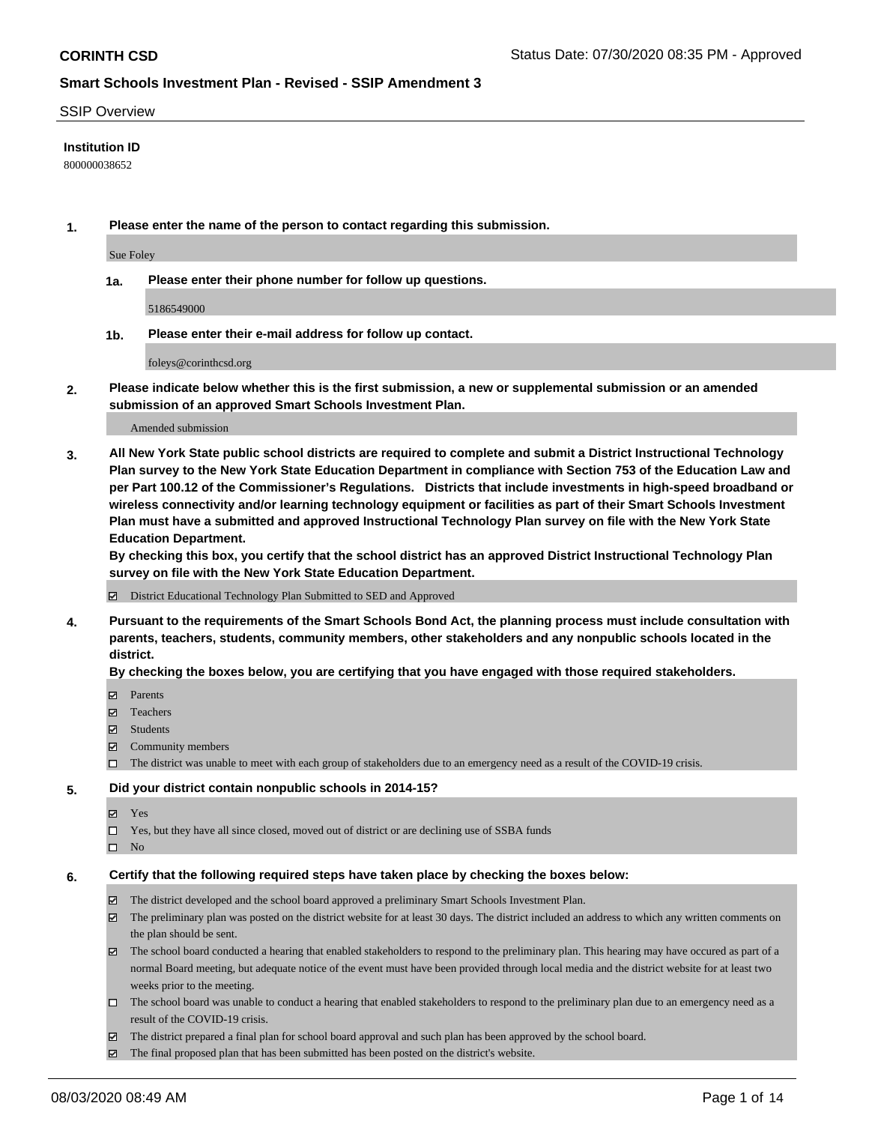#### SSIP Overview

#### **Institution ID**

800000038652

**1. Please enter the name of the person to contact regarding this submission.**

Sue Foley

**1a. Please enter their phone number for follow up questions.**

5186549000

**1b. Please enter their e-mail address for follow up contact.**

foleys@corinthcsd.org

**2. Please indicate below whether this is the first submission, a new or supplemental submission or an amended submission of an approved Smart Schools Investment Plan.**

#### Amended submission

**3. All New York State public school districts are required to complete and submit a District Instructional Technology Plan survey to the New York State Education Department in compliance with Section 753 of the Education Law and per Part 100.12 of the Commissioner's Regulations. Districts that include investments in high-speed broadband or wireless connectivity and/or learning technology equipment or facilities as part of their Smart Schools Investment Plan must have a submitted and approved Instructional Technology Plan survey on file with the New York State Education Department.** 

**By checking this box, you certify that the school district has an approved District Instructional Technology Plan survey on file with the New York State Education Department.**

District Educational Technology Plan Submitted to SED and Approved

**4. Pursuant to the requirements of the Smart Schools Bond Act, the planning process must include consultation with parents, teachers, students, community members, other stakeholders and any nonpublic schools located in the district.** 

#### **By checking the boxes below, you are certifying that you have engaged with those required stakeholders.**

- **Ø** Parents
- Teachers
- Students
- $\boxtimes$  Community members
- The district was unable to meet with each group of stakeholders due to an emergency need as a result of the COVID-19 crisis.

## **5. Did your district contain nonpublic schools in 2014-15?**

- **冈** Yes
- Yes, but they have all since closed, moved out of district or are declining use of SSBA funds
- $\square$  No

### **6. Certify that the following required steps have taken place by checking the boxes below:**

- The district developed and the school board approved a preliminary Smart Schools Investment Plan.
- $\boxtimes$  The preliminary plan was posted on the district website for at least 30 days. The district included an address to which any written comments on the plan should be sent.
- $\boxtimes$  The school board conducted a hearing that enabled stakeholders to respond to the preliminary plan. This hearing may have occured as part of a normal Board meeting, but adequate notice of the event must have been provided through local media and the district website for at least two weeks prior to the meeting.
- The school board was unable to conduct a hearing that enabled stakeholders to respond to the preliminary plan due to an emergency need as a result of the COVID-19 crisis.
- The district prepared a final plan for school board approval and such plan has been approved by the school board.
- $\boxtimes$  The final proposed plan that has been submitted has been posted on the district's website.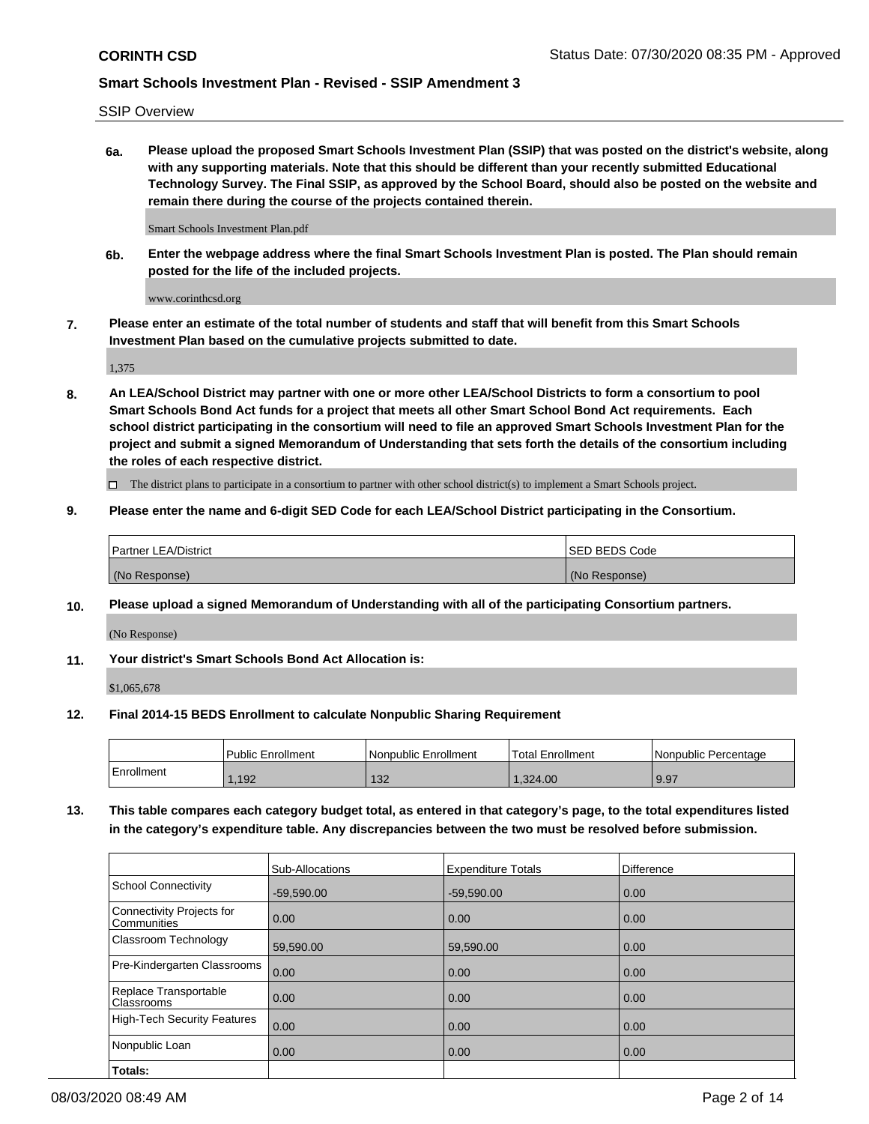SSIP Overview

**6a. Please upload the proposed Smart Schools Investment Plan (SSIP) that was posted on the district's website, along with any supporting materials. Note that this should be different than your recently submitted Educational Technology Survey. The Final SSIP, as approved by the School Board, should also be posted on the website and remain there during the course of the projects contained therein.**

Smart Schools Investment Plan.pdf

**6b. Enter the webpage address where the final Smart Schools Investment Plan is posted. The Plan should remain posted for the life of the included projects.**

www.corinthcsd.org

**7. Please enter an estimate of the total number of students and staff that will benefit from this Smart Schools Investment Plan based on the cumulative projects submitted to date.**

1,375

**8. An LEA/School District may partner with one or more other LEA/School Districts to form a consortium to pool Smart Schools Bond Act funds for a project that meets all other Smart School Bond Act requirements. Each school district participating in the consortium will need to file an approved Smart Schools Investment Plan for the project and submit a signed Memorandum of Understanding that sets forth the details of the consortium including the roles of each respective district.**

 $\Box$  The district plans to participate in a consortium to partner with other school district(s) to implement a Smart Schools project.

### **9. Please enter the name and 6-digit SED Code for each LEA/School District participating in the Consortium.**

| <b>Partner LEA/District</b> | ISED BEDS Code |
|-----------------------------|----------------|
| (No Response)               | (No Response)  |

### **10. Please upload a signed Memorandum of Understanding with all of the participating Consortium partners.**

(No Response)

#### **11. Your district's Smart Schools Bond Act Allocation is:**

\$1,065,678

#### **12. Final 2014-15 BEDS Enrollment to calculate Nonpublic Sharing Requirement**

|            | Public Enrollment | Nonpublic Enrollment | Total Enrollment | Nonpublic Percentage |
|------------|-------------------|----------------------|------------------|----------------------|
| Enrollment | ,192              | 132<br>15Z           | .324.00          | 9.97                 |

**13. This table compares each category budget total, as entered in that category's page, to the total expenditures listed in the category's expenditure table. Any discrepancies between the two must be resolved before submission.**

|                                          | Sub-Allocations | <b>Expenditure Totals</b> | <b>Difference</b> |
|------------------------------------------|-----------------|---------------------------|-------------------|
| <b>School Connectivity</b>               | $-59.590.00$    | $-59,590.00$              | 0.00              |
| Connectivity Projects for<br>Communities | 0.00            | 0.00                      | 0.00              |
| Classroom Technology                     | 59,590.00       | 59,590.00                 | 0.00              |
| Pre-Kindergarten Classrooms              | 0.00            | 0.00                      | 0.00              |
| Replace Transportable<br>Classrooms      | 0.00            | 0.00                      | 0.00              |
| High-Tech Security Features              | 0.00            | 0.00                      | 0.00              |
| Nonpublic Loan                           | 0.00            | 0.00                      | 0.00              |
| Totals:                                  |                 |                           |                   |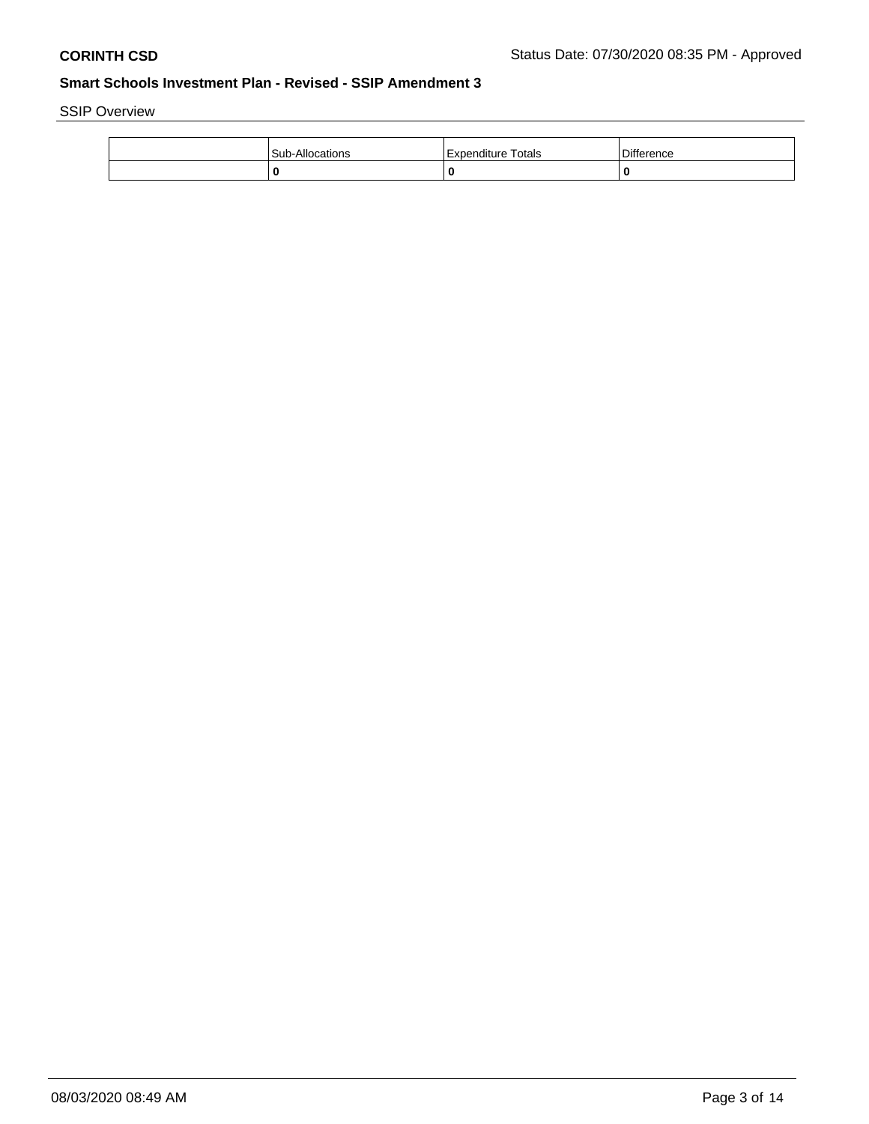SSIP Overview

| Sub-A<br>Allocations | Totals<br>Expenditure | Difference |
|----------------------|-----------------------|------------|
|                      |                       | 0          |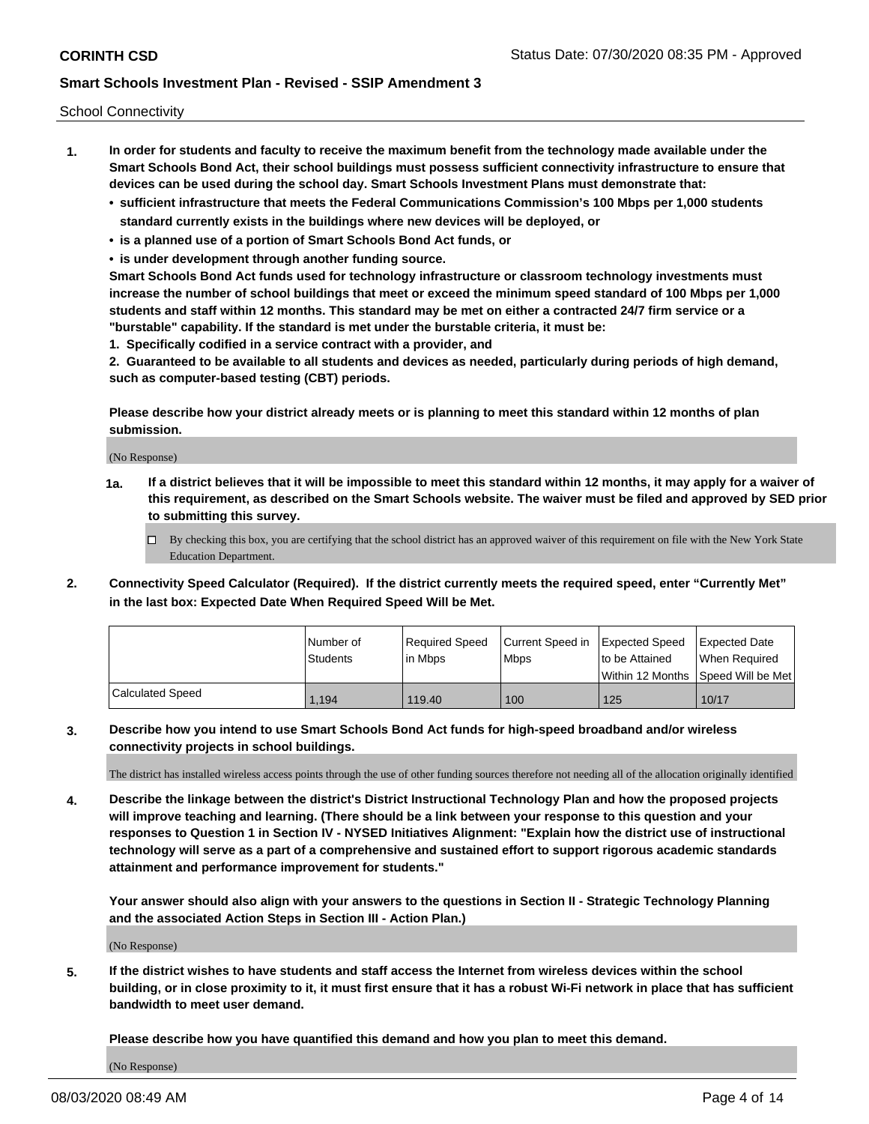School Connectivity

- **1. In order for students and faculty to receive the maximum benefit from the technology made available under the Smart Schools Bond Act, their school buildings must possess sufficient connectivity infrastructure to ensure that devices can be used during the school day. Smart Schools Investment Plans must demonstrate that:**
	- **• sufficient infrastructure that meets the Federal Communications Commission's 100 Mbps per 1,000 students standard currently exists in the buildings where new devices will be deployed, or**
	- **• is a planned use of a portion of Smart Schools Bond Act funds, or**
	- **• is under development through another funding source.**

**Smart Schools Bond Act funds used for technology infrastructure or classroom technology investments must increase the number of school buildings that meet or exceed the minimum speed standard of 100 Mbps per 1,000 students and staff within 12 months. This standard may be met on either a contracted 24/7 firm service or a "burstable" capability. If the standard is met under the burstable criteria, it must be:**

**1. Specifically codified in a service contract with a provider, and**

**2. Guaranteed to be available to all students and devices as needed, particularly during periods of high demand, such as computer-based testing (CBT) periods.**

**Please describe how your district already meets or is planning to meet this standard within 12 months of plan submission.**

(No Response)

**1a. If a district believes that it will be impossible to meet this standard within 12 months, it may apply for a waiver of this requirement, as described on the Smart Schools website. The waiver must be filed and approved by SED prior to submitting this survey.**

 $\Box$  By checking this box, you are certifying that the school district has an approved waiver of this requirement on file with the New York State Education Department.

**2. Connectivity Speed Calculator (Required). If the district currently meets the required speed, enter "Currently Met" in the last box: Expected Date When Required Speed Will be Met.**

|                  | l Number of | Required Speed | Current Speed in Expected Speed |                | Expected Date                           |
|------------------|-------------|----------------|---------------------------------|----------------|-----------------------------------------|
|                  | Students    | In Mbps        | <b>Mbps</b>                     | to be Attained | When Required                           |
|                  |             |                |                                 |                | l Within 12 Months ISpeed Will be Met l |
| Calculated Speed | 1,194       | 119.40         | 100                             | 125            | 10/17                                   |

**3. Describe how you intend to use Smart Schools Bond Act funds for high-speed broadband and/or wireless connectivity projects in school buildings.**

The district has installed wireless access points through the use of other funding sources therefore not needing all of the allocation originally identified

**4. Describe the linkage between the district's District Instructional Technology Plan and how the proposed projects will improve teaching and learning. (There should be a link between your response to this question and your responses to Question 1 in Section IV - NYSED Initiatives Alignment: "Explain how the district use of instructional technology will serve as a part of a comprehensive and sustained effort to support rigorous academic standards attainment and performance improvement for students."** 

**Your answer should also align with your answers to the questions in Section II - Strategic Technology Planning and the associated Action Steps in Section III - Action Plan.)**

(No Response)

**5. If the district wishes to have students and staff access the Internet from wireless devices within the school building, or in close proximity to it, it must first ensure that it has a robust Wi-Fi network in place that has sufficient bandwidth to meet user demand.**

**Please describe how you have quantified this demand and how you plan to meet this demand.**

(No Response)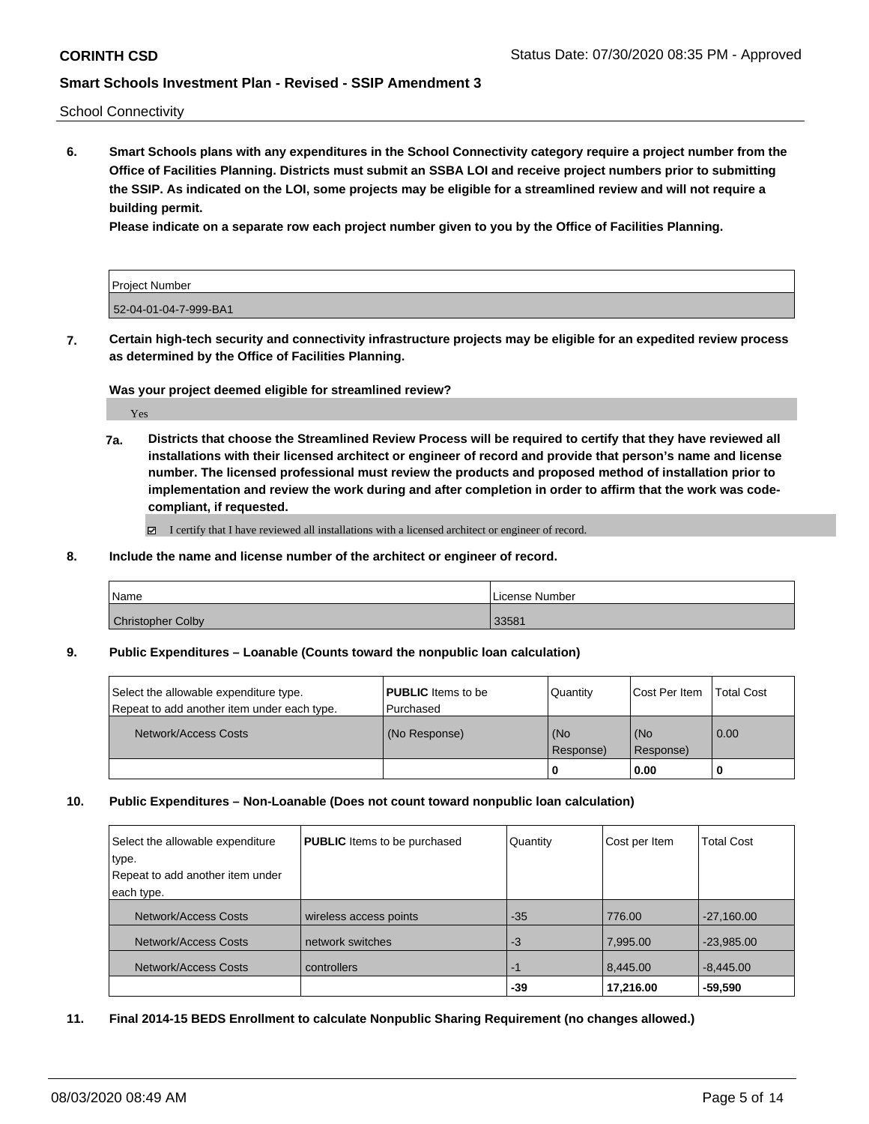School Connectivity

**6. Smart Schools plans with any expenditures in the School Connectivity category require a project number from the Office of Facilities Planning. Districts must submit an SSBA LOI and receive project numbers prior to submitting the SSIP. As indicated on the LOI, some projects may be eligible for a streamlined review and will not require a building permit.**

**Please indicate on a separate row each project number given to you by the Office of Facilities Planning.**

| <b>Project Number</b> |  |
|-----------------------|--|
| 52-04-01-04-7-999-BA1 |  |

**7. Certain high-tech security and connectivity infrastructure projects may be eligible for an expedited review process as determined by the Office of Facilities Planning.**

**Was your project deemed eligible for streamlined review?**

Yes

**7a. Districts that choose the Streamlined Review Process will be required to certify that they have reviewed all installations with their licensed architect or engineer of record and provide that person's name and license number. The licensed professional must review the products and proposed method of installation prior to implementation and review the work during and after completion in order to affirm that the work was codecompliant, if requested.**

■ I certify that I have reviewed all installations with a licensed architect or engineer of record.

**8. Include the name and license number of the architect or engineer of record.**

| Name                     | License Number |
|--------------------------|----------------|
| <b>Christopher Colby</b> | 33581          |

**9. Public Expenditures – Loanable (Counts toward the nonpublic loan calculation)**

| Select the allowable expenditure type.      | <b>PUBLIC</b> Items to be | <b>Quantity</b>      | Cost Per Item    | <b>Total Cost</b> |
|---------------------------------------------|---------------------------|----------------------|------------------|-------------------|
| Repeat to add another item under each type. | Purchased                 |                      |                  |                   |
| Network/Access Costs                        | (No Response)             | l (No<br>l Response) | (No<br>Response) | $\overline{0.00}$ |
|                                             |                           |                      | 0.00             |                   |

**10. Public Expenditures – Non-Loanable (Does not count toward nonpublic loan calculation)**

| Select the allowable expenditure | <b>PUBLIC</b> Items to be purchased | Quantity | Cost per Item | <b>Total Cost</b> |
|----------------------------------|-------------------------------------|----------|---------------|-------------------|
| type.                            |                                     |          |               |                   |
| Repeat to add another item under |                                     |          |               |                   |
| each type.                       |                                     |          |               |                   |
| Network/Access Costs             | wireless access points              | $-35$    | 776.00        | $-27,160.00$      |
| Network/Access Costs             | network switches                    | -3       | 7,995.00      | $-23,985.00$      |
| Network/Access Costs             | controllers                         | -1       | 8,445.00      | $-8,445.00$       |
|                                  |                                     | -39      | 17,216.00     | $-59,590$         |

**11. Final 2014-15 BEDS Enrollment to calculate Nonpublic Sharing Requirement (no changes allowed.)**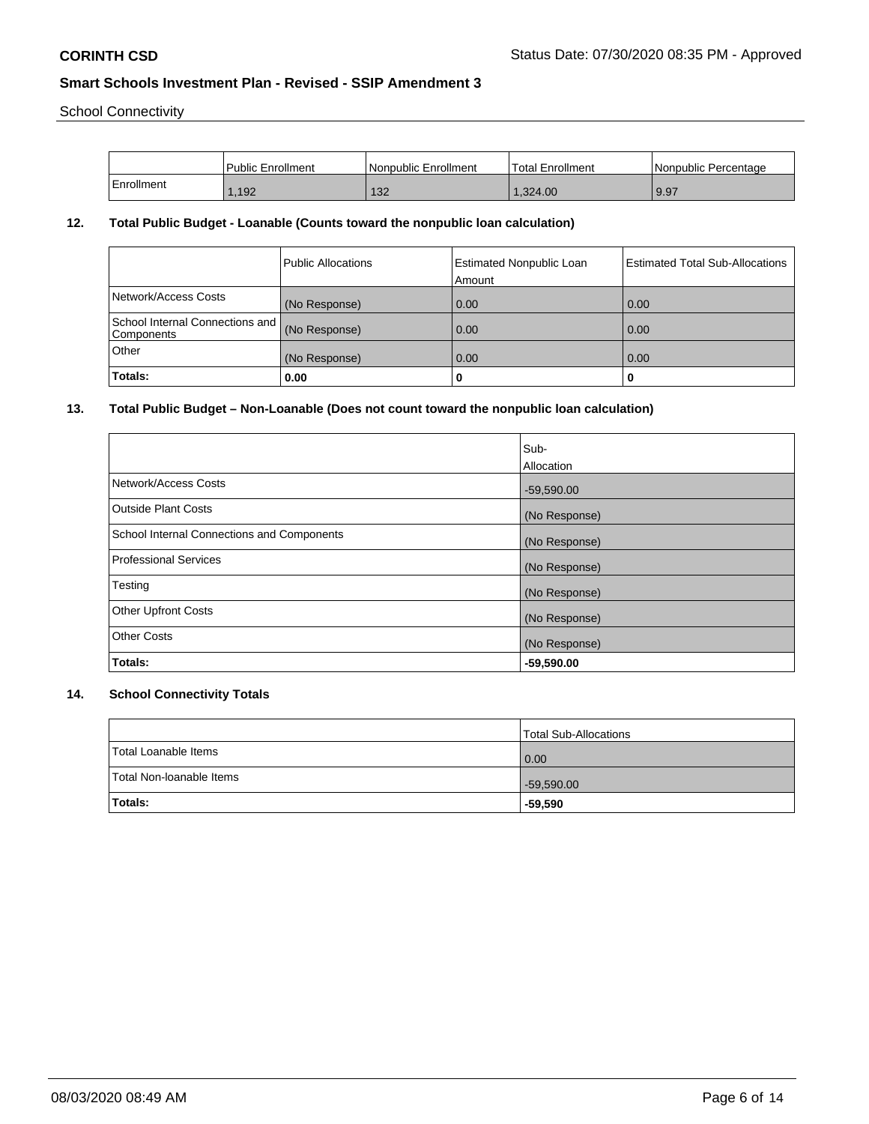School Connectivity

|            | Public Enrollment | <b>Nonpublic Enrollment</b> | Total Enrollment | Nonpublic Percentage |
|------------|-------------------|-----------------------------|------------------|----------------------|
| Enrollment | .192              | 132                         | 1.324.00         | 9.97                 |

## **12. Total Public Budget - Loanable (Counts toward the nonpublic loan calculation)**

|                                               | Public Allocations | <b>Estimated Nonpublic Loan</b><br>Amount | <b>Estimated Total Sub-Allocations</b> |
|-----------------------------------------------|--------------------|-------------------------------------------|----------------------------------------|
| Network/Access Costs                          | (No Response)      | 0.00                                      | 0.00                                   |
| School Internal Connections and<br>Components | (No Response)      | 0.00                                      | 0.00                                   |
| Other                                         | (No Response)      | 0.00                                      | 0.00                                   |
| Totals:                                       | 0.00               |                                           | o                                      |

## **13. Total Public Budget – Non-Loanable (Does not count toward the nonpublic loan calculation)**

|                                            | Sub-          |
|--------------------------------------------|---------------|
|                                            | Allocation    |
| Network/Access Costs                       | $-59,590.00$  |
| <b>Outside Plant Costs</b>                 | (No Response) |
| School Internal Connections and Components | (No Response) |
| <b>Professional Services</b>               | (No Response) |
| Testing                                    | (No Response) |
| <b>Other Upfront Costs</b>                 | (No Response) |
| <b>Other Costs</b>                         | (No Response) |
| Totals:                                    | $-59,590.00$  |

# **14. School Connectivity Totals**

|                          | Total Sub-Allocations |
|--------------------------|-----------------------|
| Total Loanable Items     | 0.00                  |
| Total Non-Ioanable Items | $-59,590.00$          |
| Totals:                  | $-59,590$             |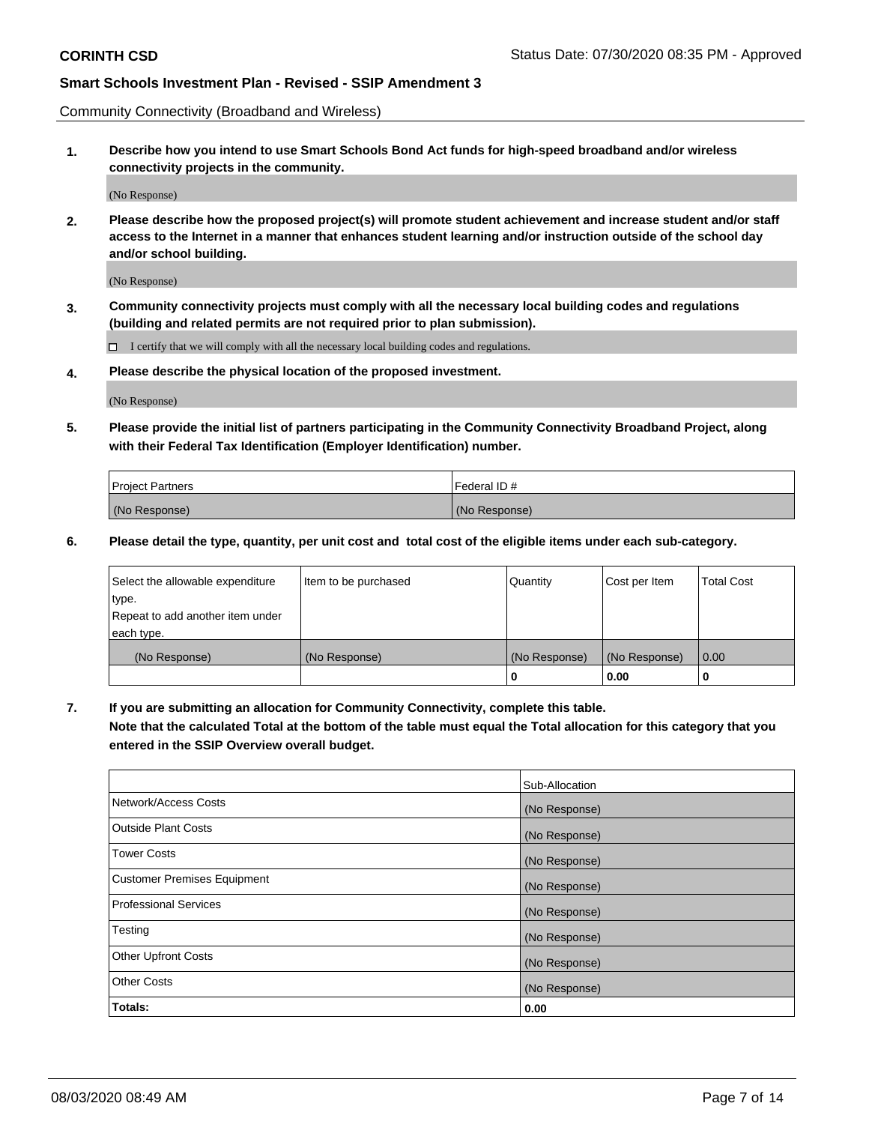Community Connectivity (Broadband and Wireless)

**1. Describe how you intend to use Smart Schools Bond Act funds for high-speed broadband and/or wireless connectivity projects in the community.**

(No Response)

**2. Please describe how the proposed project(s) will promote student achievement and increase student and/or staff access to the Internet in a manner that enhances student learning and/or instruction outside of the school day and/or school building.**

(No Response)

**3. Community connectivity projects must comply with all the necessary local building codes and regulations (building and related permits are not required prior to plan submission).**

 $\Box$  I certify that we will comply with all the necessary local building codes and regulations.

**4. Please describe the physical location of the proposed investment.**

(No Response)

**5. Please provide the initial list of partners participating in the Community Connectivity Broadband Project, along with their Federal Tax Identification (Employer Identification) number.**

| <b>Project Partners</b> | l Federal ID # |
|-------------------------|----------------|
| (No Response)           | (No Response)  |

**6. Please detail the type, quantity, per unit cost and total cost of the eligible items under each sub-category.**

| Select the allowable expenditure | Item to be purchased | Quantity      | Cost per Item | <b>Total Cost</b> |
|----------------------------------|----------------------|---------------|---------------|-------------------|
| type.                            |                      |               |               |                   |
| Repeat to add another item under |                      |               |               |                   |
| each type.                       |                      |               |               |                   |
| (No Response)                    | (No Response)        | (No Response) | (No Response) | 0.00              |
|                                  |                      | o             | 0.00          |                   |

**7. If you are submitting an allocation for Community Connectivity, complete this table.**

**Note that the calculated Total at the bottom of the table must equal the Total allocation for this category that you entered in the SSIP Overview overall budget.**

|                                    | Sub-Allocation |
|------------------------------------|----------------|
| Network/Access Costs               | (No Response)  |
| Outside Plant Costs                | (No Response)  |
| <b>Tower Costs</b>                 | (No Response)  |
| <b>Customer Premises Equipment</b> | (No Response)  |
| <b>Professional Services</b>       | (No Response)  |
| Testing                            | (No Response)  |
| <b>Other Upfront Costs</b>         | (No Response)  |
| <b>Other Costs</b>                 | (No Response)  |
| Totals:                            | 0.00           |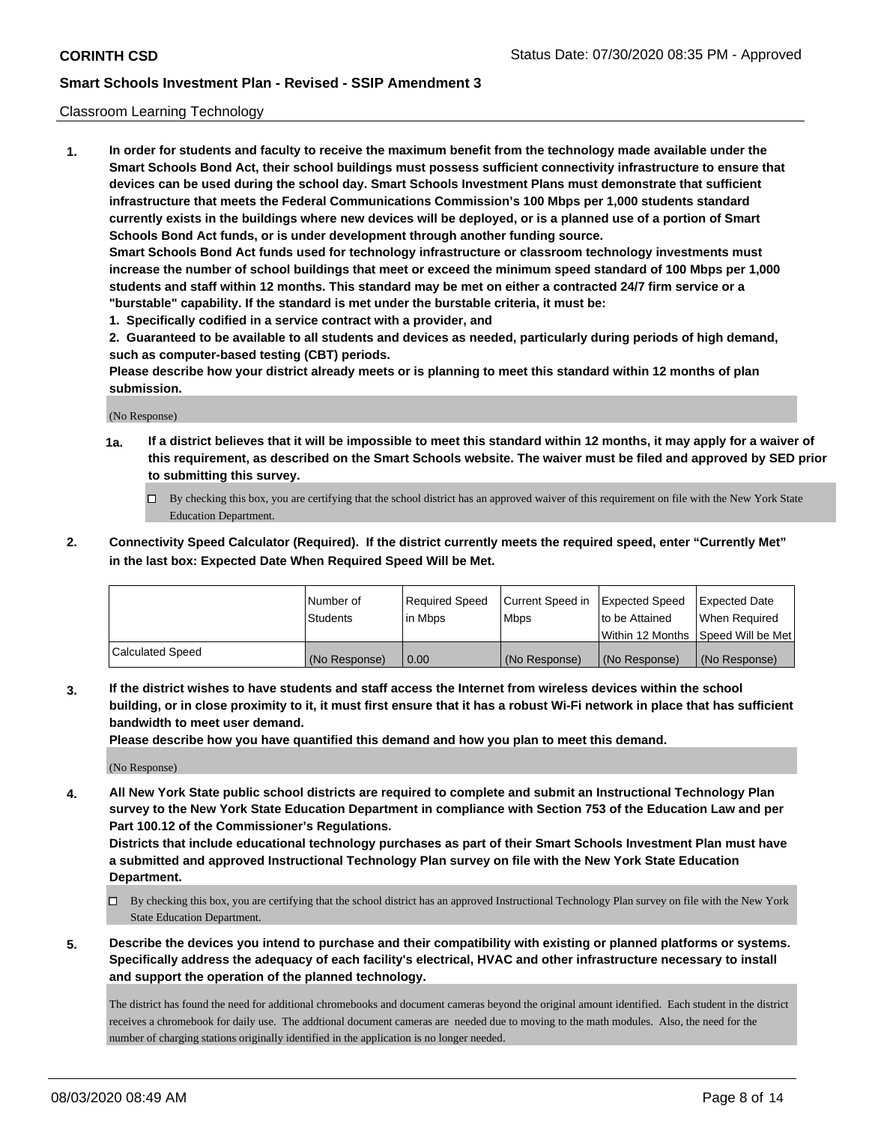#### Classroom Learning Technology

**1. In order for students and faculty to receive the maximum benefit from the technology made available under the Smart Schools Bond Act, their school buildings must possess sufficient connectivity infrastructure to ensure that devices can be used during the school day. Smart Schools Investment Plans must demonstrate that sufficient infrastructure that meets the Federal Communications Commission's 100 Mbps per 1,000 students standard currently exists in the buildings where new devices will be deployed, or is a planned use of a portion of Smart Schools Bond Act funds, or is under development through another funding source. Smart Schools Bond Act funds used for technology infrastructure or classroom technology investments must increase the number of school buildings that meet or exceed the minimum speed standard of 100 Mbps per 1,000 students and staff within 12 months. This standard may be met on either a contracted 24/7 firm service or a**

- **"burstable" capability. If the standard is met under the burstable criteria, it must be:**
- **1. Specifically codified in a service contract with a provider, and**

**2. Guaranteed to be available to all students and devices as needed, particularly during periods of high demand, such as computer-based testing (CBT) periods.**

**Please describe how your district already meets or is planning to meet this standard within 12 months of plan submission.**

(No Response)

- **1a. If a district believes that it will be impossible to meet this standard within 12 months, it may apply for a waiver of this requirement, as described on the Smart Schools website. The waiver must be filed and approved by SED prior to submitting this survey.**
	- By checking this box, you are certifying that the school district has an approved waiver of this requirement on file with the New York State Education Department.
- **2. Connectivity Speed Calculator (Required). If the district currently meets the required speed, enter "Currently Met" in the last box: Expected Date When Required Speed Will be Met.**

|                  | l Number of     | Required Speed | Current Speed in | <b>Expected Speed</b> | <b>Expected Date</b>                |
|------------------|-----------------|----------------|------------------|-----------------------|-------------------------------------|
|                  | <b>Students</b> | l in Mbps      | l Mbps           | to be Attained        | When Required                       |
|                  |                 |                |                  |                       | Within 12 Months  Speed Will be Met |
| Calculated Speed | (No Response)   | 0.00           | (No Response)    | l (No Response)       | (No Response)                       |

**3. If the district wishes to have students and staff access the Internet from wireless devices within the school building, or in close proximity to it, it must first ensure that it has a robust Wi-Fi network in place that has sufficient bandwidth to meet user demand.**

**Please describe how you have quantified this demand and how you plan to meet this demand.**

(No Response)

**4. All New York State public school districts are required to complete and submit an Instructional Technology Plan survey to the New York State Education Department in compliance with Section 753 of the Education Law and per Part 100.12 of the Commissioner's Regulations.**

**Districts that include educational technology purchases as part of their Smart Schools Investment Plan must have a submitted and approved Instructional Technology Plan survey on file with the New York State Education Department.**

- By checking this box, you are certifying that the school district has an approved Instructional Technology Plan survey on file with the New York State Education Department.
- **5. Describe the devices you intend to purchase and their compatibility with existing or planned platforms or systems. Specifically address the adequacy of each facility's electrical, HVAC and other infrastructure necessary to install and support the operation of the planned technology.**

The district has found the need for additional chromebooks and document cameras beyond the original amount identified. Each student in the district receives a chromebook for daily use. The addtional document cameras are needed due to moving to the math modules. Also, the need for the number of charging stations originally identified in the application is no longer needed.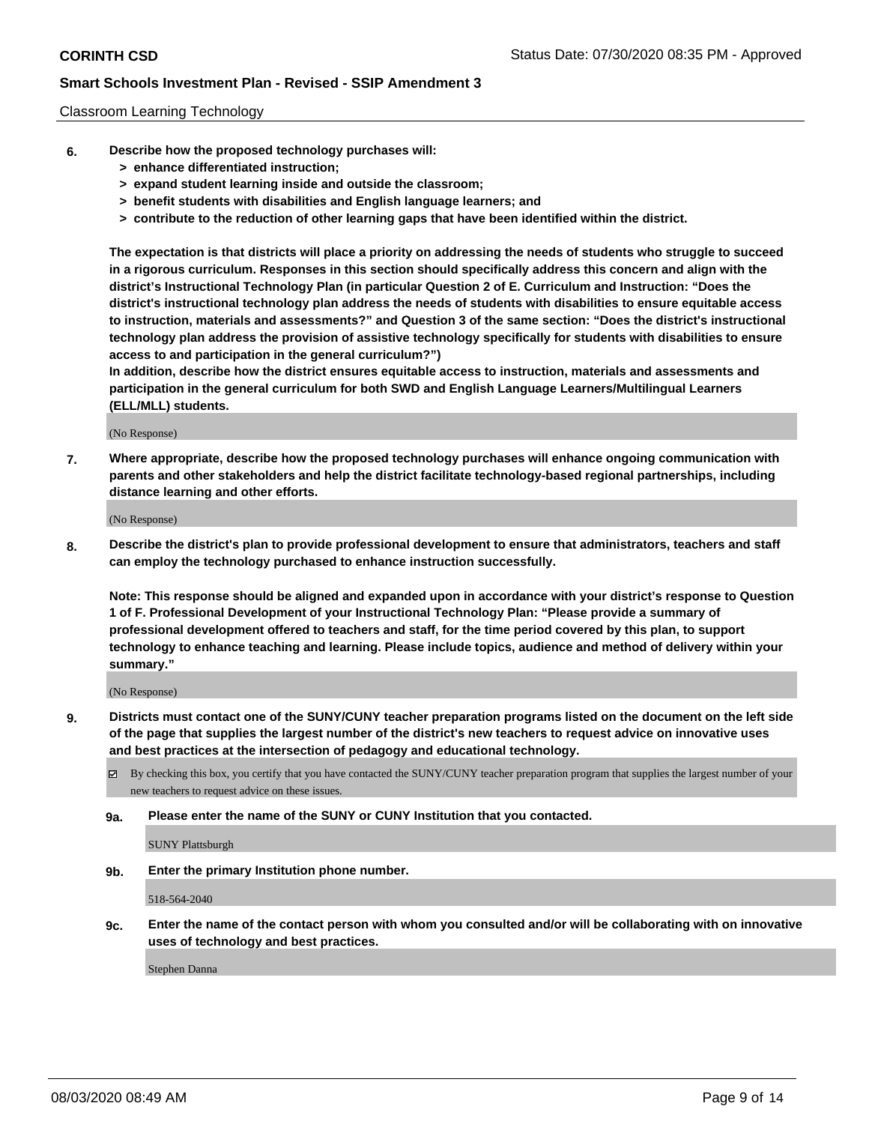#### Classroom Learning Technology

- **6. Describe how the proposed technology purchases will:**
	- **> enhance differentiated instruction;**
	- **> expand student learning inside and outside the classroom;**
	- **> benefit students with disabilities and English language learners; and**
	- **> contribute to the reduction of other learning gaps that have been identified within the district.**

**The expectation is that districts will place a priority on addressing the needs of students who struggle to succeed in a rigorous curriculum. Responses in this section should specifically address this concern and align with the district's Instructional Technology Plan (in particular Question 2 of E. Curriculum and Instruction: "Does the district's instructional technology plan address the needs of students with disabilities to ensure equitable access to instruction, materials and assessments?" and Question 3 of the same section: "Does the district's instructional technology plan address the provision of assistive technology specifically for students with disabilities to ensure access to and participation in the general curriculum?")**

**In addition, describe how the district ensures equitable access to instruction, materials and assessments and participation in the general curriculum for both SWD and English Language Learners/Multilingual Learners (ELL/MLL) students.**

(No Response)

**7. Where appropriate, describe how the proposed technology purchases will enhance ongoing communication with parents and other stakeholders and help the district facilitate technology-based regional partnerships, including distance learning and other efforts.**

(No Response)

**8. Describe the district's plan to provide professional development to ensure that administrators, teachers and staff can employ the technology purchased to enhance instruction successfully.**

**Note: This response should be aligned and expanded upon in accordance with your district's response to Question 1 of F. Professional Development of your Instructional Technology Plan: "Please provide a summary of professional development offered to teachers and staff, for the time period covered by this plan, to support technology to enhance teaching and learning. Please include topics, audience and method of delivery within your summary."**

(No Response)

- **9. Districts must contact one of the SUNY/CUNY teacher preparation programs listed on the document on the left side of the page that supplies the largest number of the district's new teachers to request advice on innovative uses and best practices at the intersection of pedagogy and educational technology.**
	- By checking this box, you certify that you have contacted the SUNY/CUNY teacher preparation program that supplies the largest number of your new teachers to request advice on these issues.
	- **9a. Please enter the name of the SUNY or CUNY Institution that you contacted.**

SUNY Plattsburgh

**9b. Enter the primary Institution phone number.**

518-564-2040

**9c. Enter the name of the contact person with whom you consulted and/or will be collaborating with on innovative uses of technology and best practices.**

Stephen Danna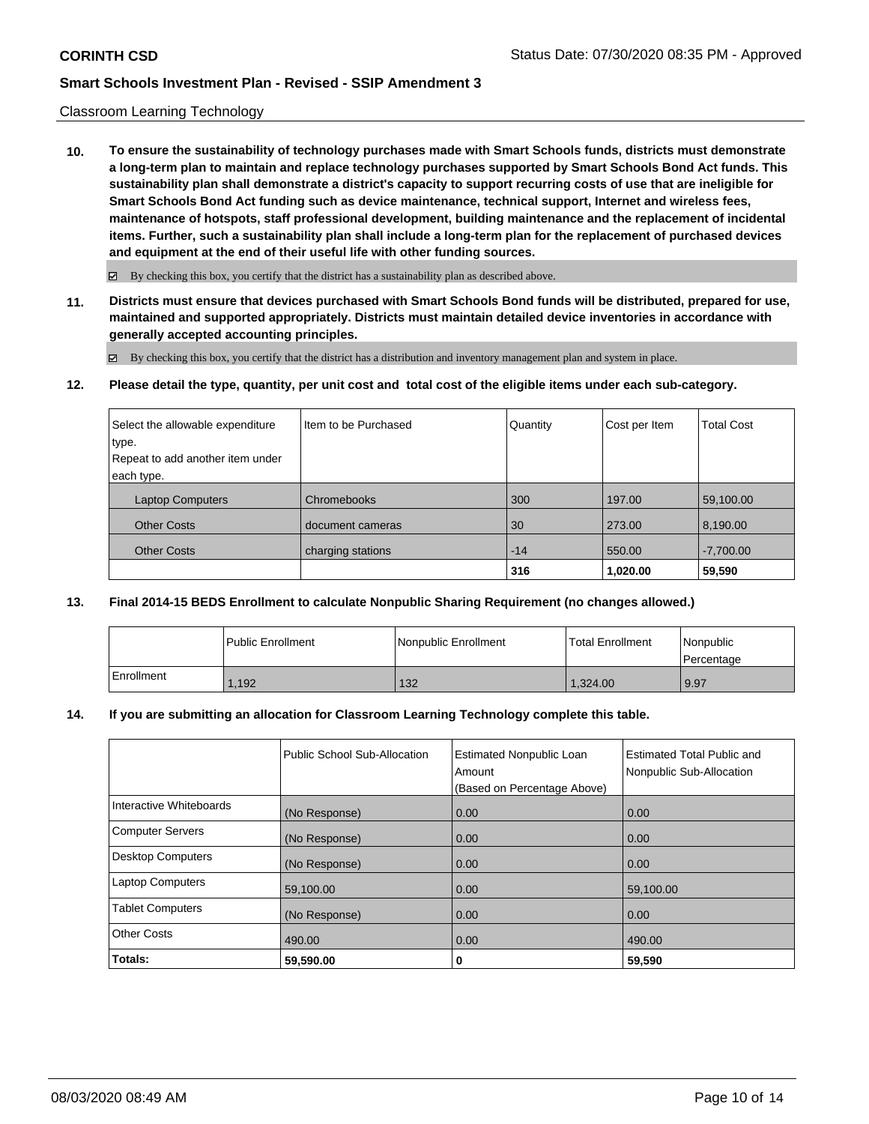#### Classroom Learning Technology

**10. To ensure the sustainability of technology purchases made with Smart Schools funds, districts must demonstrate a long-term plan to maintain and replace technology purchases supported by Smart Schools Bond Act funds. This sustainability plan shall demonstrate a district's capacity to support recurring costs of use that are ineligible for Smart Schools Bond Act funding such as device maintenance, technical support, Internet and wireless fees, maintenance of hotspots, staff professional development, building maintenance and the replacement of incidental items. Further, such a sustainability plan shall include a long-term plan for the replacement of purchased devices and equipment at the end of their useful life with other funding sources.**

 $\boxtimes$  By checking this box, you certify that the district has a sustainability plan as described above.

**11. Districts must ensure that devices purchased with Smart Schools Bond funds will be distributed, prepared for use, maintained and supported appropriately. Districts must maintain detailed device inventories in accordance with generally accepted accounting principles.**

By checking this box, you certify that the district has a distribution and inventory management plan and system in place.

**12. Please detail the type, quantity, per unit cost and total cost of the eligible items under each sub-category.**

| Select the allowable expenditure | I Item to be Purchased | Quantity | Cost per Item | <b>Total Cost</b> |
|----------------------------------|------------------------|----------|---------------|-------------------|
| type.                            |                        |          |               |                   |
| Repeat to add another item under |                        |          |               |                   |
| each type.                       |                        |          |               |                   |
| <b>Laptop Computers</b>          | Chromebooks            | 300      | 197.00        | 59,100.00         |
| <b>Other Costs</b>               | document cameras       | 30       | 273.00        | 8,190.00          |
| <b>Other Costs</b>               | charging stations      | $-14$    | 550.00        | $-7,700.00$       |
|                                  |                        | 316      | 1,020.00      | 59,590            |

### **13. Final 2014-15 BEDS Enrollment to calculate Nonpublic Sharing Requirement (no changes allowed.)**

|            | <b>Public Enrollment</b> | Nonpublic Enrollment | Total Enrollment | l Nonpublic<br>l Percentage |
|------------|--------------------------|----------------------|------------------|-----------------------------|
| Enrollment | .192                     | 132                  | 1.324.00         | 9.97                        |

#### **14. If you are submitting an allocation for Classroom Learning Technology complete this table.**

|                          | Public School Sub-Allocation | <b>Estimated Nonpublic Loan</b><br>Amount<br>(Based on Percentage Above) | <b>Estimated Total Public and</b><br>Nonpublic Sub-Allocation |
|--------------------------|------------------------------|--------------------------------------------------------------------------|---------------------------------------------------------------|
| Interactive Whiteboards  | (No Response)                | 0.00                                                                     | 0.00                                                          |
| <b>Computer Servers</b>  | (No Response)                | 0.00                                                                     | 0.00                                                          |
| <b>Desktop Computers</b> | (No Response)                | 0.00                                                                     | 0.00                                                          |
| <b>Laptop Computers</b>  | 59,100.00                    | 0.00                                                                     | 59.100.00                                                     |
| <b>Tablet Computers</b>  | (No Response)                | 0.00                                                                     | 0.00                                                          |
| <b>Other Costs</b>       | 490.00                       | 0.00                                                                     | 490.00                                                        |
| Totals:                  | 59,590.00                    | 0                                                                        | 59,590                                                        |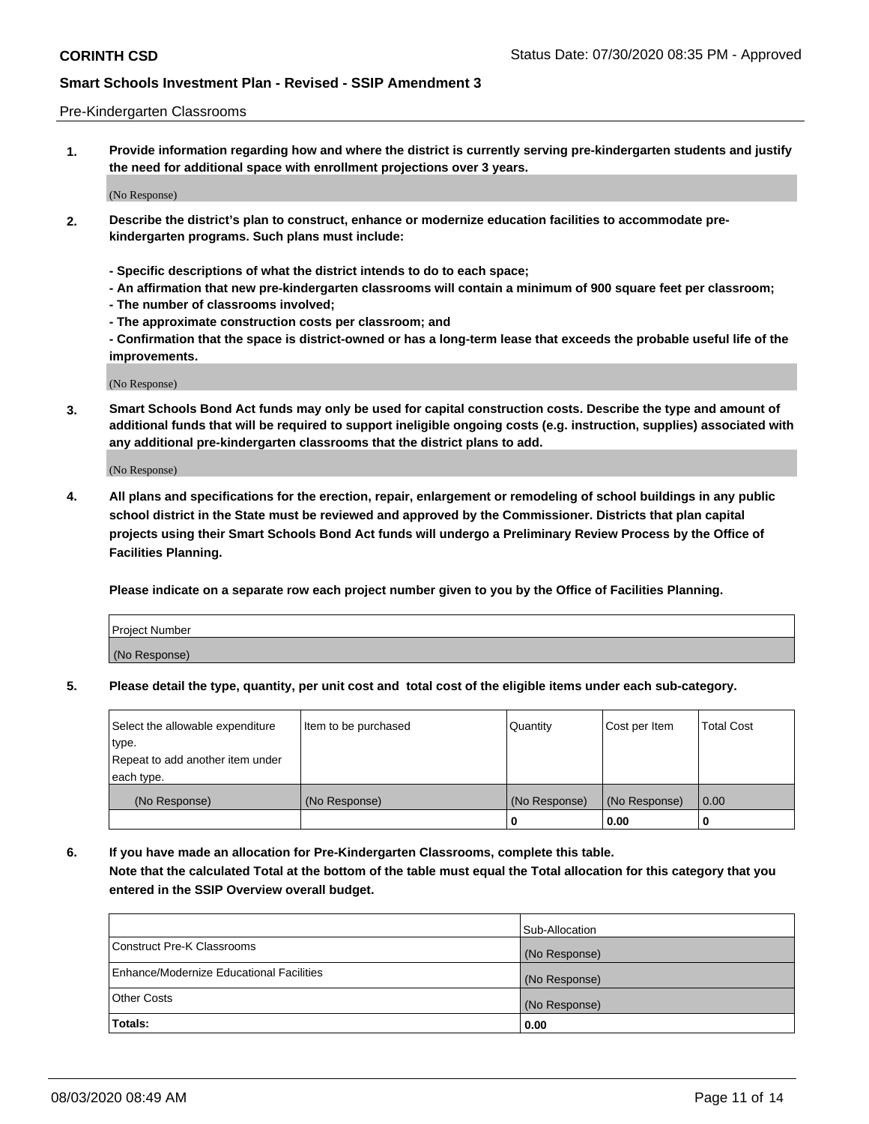#### Pre-Kindergarten Classrooms

**1. Provide information regarding how and where the district is currently serving pre-kindergarten students and justify the need for additional space with enrollment projections over 3 years.**

(No Response)

- **2. Describe the district's plan to construct, enhance or modernize education facilities to accommodate prekindergarten programs. Such plans must include:**
	- **Specific descriptions of what the district intends to do to each space;**
	- **An affirmation that new pre-kindergarten classrooms will contain a minimum of 900 square feet per classroom;**
	- **The number of classrooms involved;**
	- **The approximate construction costs per classroom; and**
	- **Confirmation that the space is district-owned or has a long-term lease that exceeds the probable useful life of the improvements.**

(No Response)

**3. Smart Schools Bond Act funds may only be used for capital construction costs. Describe the type and amount of additional funds that will be required to support ineligible ongoing costs (e.g. instruction, supplies) associated with any additional pre-kindergarten classrooms that the district plans to add.**

(No Response)

**4. All plans and specifications for the erection, repair, enlargement or remodeling of school buildings in any public school district in the State must be reviewed and approved by the Commissioner. Districts that plan capital projects using their Smart Schools Bond Act funds will undergo a Preliminary Review Process by the Office of Facilities Planning.**

**Please indicate on a separate row each project number given to you by the Office of Facilities Planning.**

| Project Number |  |
|----------------|--|
| (No Response)  |  |
|                |  |

**5. Please detail the type, quantity, per unit cost and total cost of the eligible items under each sub-category.**

| Select the allowable expenditure | Item to be purchased | Quantity      | Cost per Item | <b>Total Cost</b> |
|----------------------------------|----------------------|---------------|---------------|-------------------|
| type.                            |                      |               |               |                   |
| Repeat to add another item under |                      |               |               |                   |
| each type.                       |                      |               |               |                   |
| (No Response)                    | (No Response)        | (No Response) | (No Response) | 0.00              |
|                                  |                      | U             | 0.00          |                   |

**6. If you have made an allocation for Pre-Kindergarten Classrooms, complete this table. Note that the calculated Total at the bottom of the table must equal the Total allocation for this category that you entered in the SSIP Overview overall budget.**

|                                          | Sub-Allocation |
|------------------------------------------|----------------|
| Construct Pre-K Classrooms               | (No Response)  |
| Enhance/Modernize Educational Facilities | (No Response)  |
| <b>Other Costs</b>                       | (No Response)  |
| Totals:                                  | 0.00           |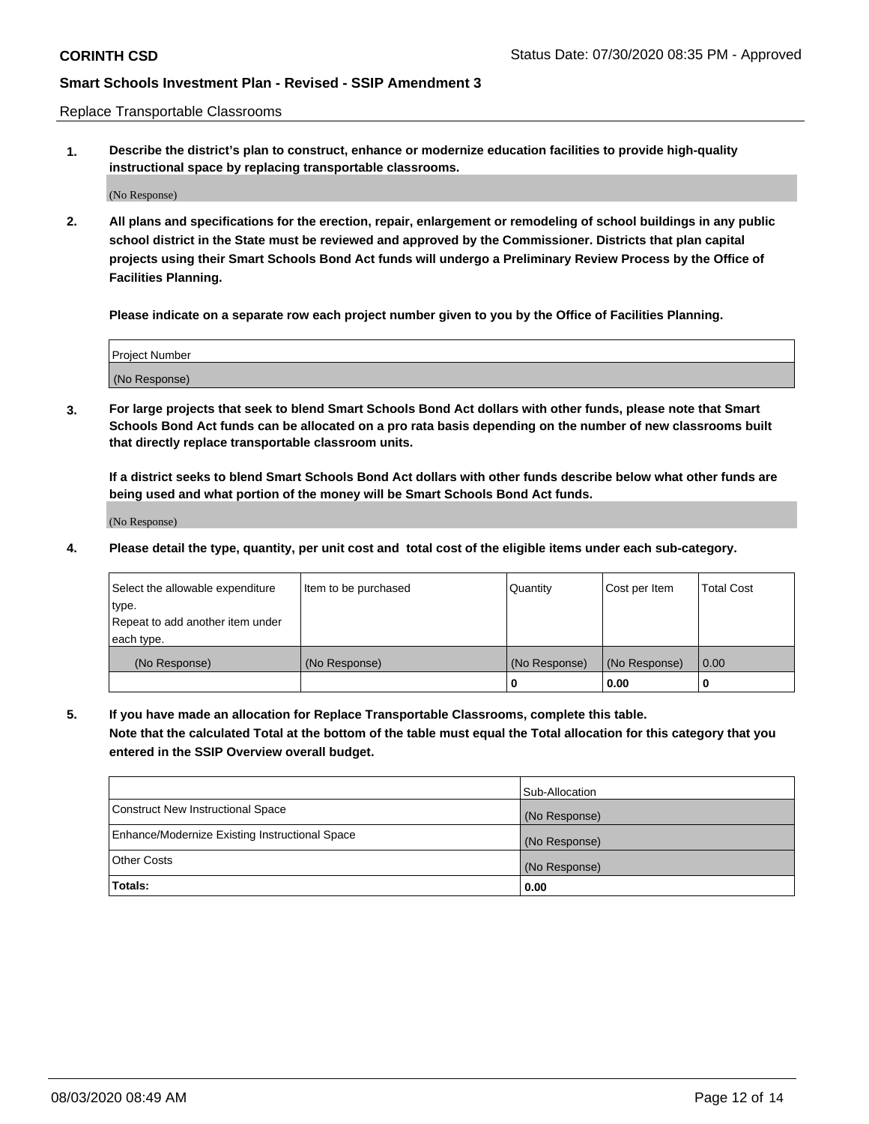Replace Transportable Classrooms

**1. Describe the district's plan to construct, enhance or modernize education facilities to provide high-quality instructional space by replacing transportable classrooms.**

(No Response)

**2. All plans and specifications for the erection, repair, enlargement or remodeling of school buildings in any public school district in the State must be reviewed and approved by the Commissioner. Districts that plan capital projects using their Smart Schools Bond Act funds will undergo a Preliminary Review Process by the Office of Facilities Planning.**

**Please indicate on a separate row each project number given to you by the Office of Facilities Planning.**

| Project Number |  |
|----------------|--|
|                |  |
|                |  |
|                |  |
| (No Response)  |  |
|                |  |
|                |  |

**3. For large projects that seek to blend Smart Schools Bond Act dollars with other funds, please note that Smart Schools Bond Act funds can be allocated on a pro rata basis depending on the number of new classrooms built that directly replace transportable classroom units.**

**If a district seeks to blend Smart Schools Bond Act dollars with other funds describe below what other funds are being used and what portion of the money will be Smart Schools Bond Act funds.**

(No Response)

**4. Please detail the type, quantity, per unit cost and total cost of the eligible items under each sub-category.**

| Select the allowable expenditure | Item to be purchased | Quantity      | Cost per Item | Total Cost |
|----------------------------------|----------------------|---------------|---------------|------------|
| ∣type.                           |                      |               |               |            |
| Repeat to add another item under |                      |               |               |            |
| each type.                       |                      |               |               |            |
| (No Response)                    | (No Response)        | (No Response) | (No Response) | 0.00       |
|                                  |                      | u             | 0.00          |            |

**5. If you have made an allocation for Replace Transportable Classrooms, complete this table. Note that the calculated Total at the bottom of the table must equal the Total allocation for this category that you entered in the SSIP Overview overall budget.**

|                                                | Sub-Allocation |
|------------------------------------------------|----------------|
| Construct New Instructional Space              | (No Response)  |
| Enhance/Modernize Existing Instructional Space | (No Response)  |
| Other Costs                                    | (No Response)  |
| Totals:                                        | 0.00           |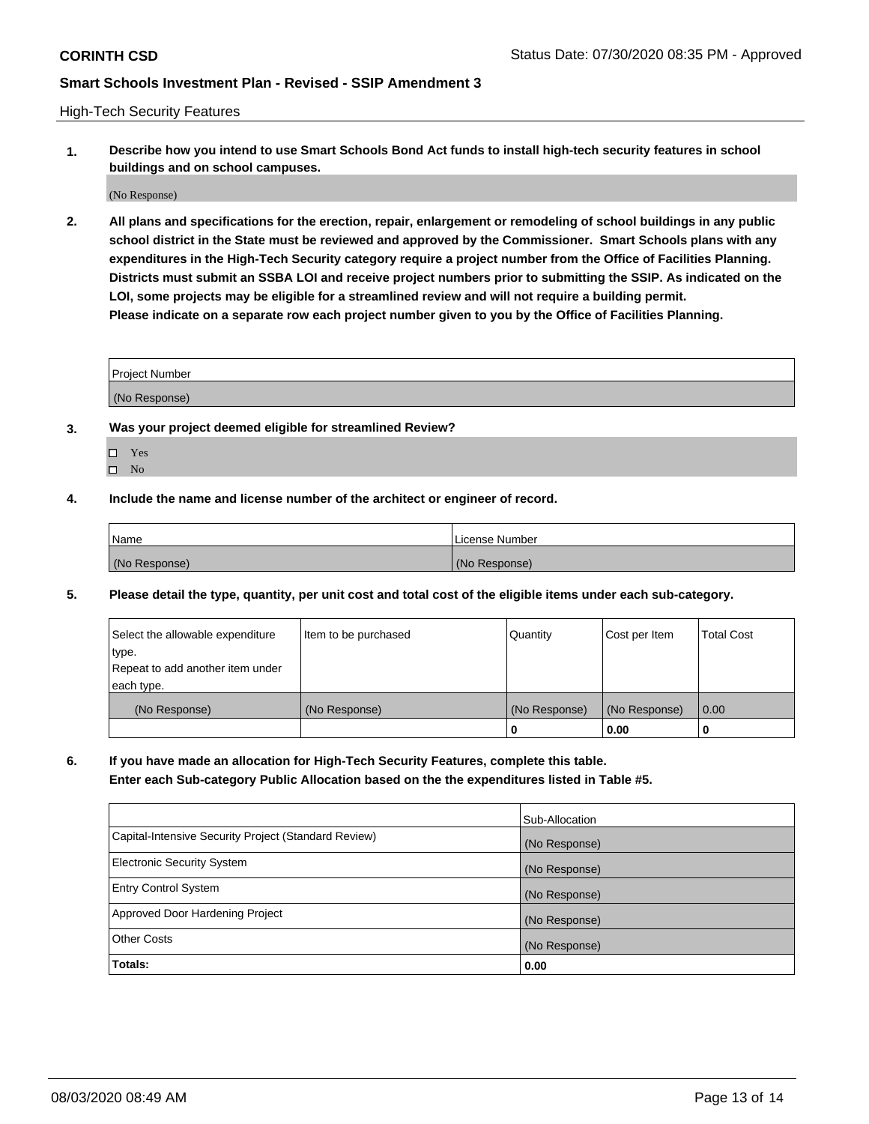High-Tech Security Features

**1. Describe how you intend to use Smart Schools Bond Act funds to install high-tech security features in school buildings and on school campuses.**

(No Response)

**2. All plans and specifications for the erection, repair, enlargement or remodeling of school buildings in any public school district in the State must be reviewed and approved by the Commissioner. Smart Schools plans with any expenditures in the High-Tech Security category require a project number from the Office of Facilities Planning. Districts must submit an SSBA LOI and receive project numbers prior to submitting the SSIP. As indicated on the LOI, some projects may be eligible for a streamlined review and will not require a building permit. Please indicate on a separate row each project number given to you by the Office of Facilities Planning.**

| <b>Project Number</b> |  |
|-----------------------|--|
| (No Response)         |  |

- **3. Was your project deemed eligible for streamlined Review?**
	- Yes
	- $\hfill \square$  No
- **4. Include the name and license number of the architect or engineer of record.**

| Name          | License Number |
|---------------|----------------|
| (No Response) | (No Response)  |

**5. Please detail the type, quantity, per unit cost and total cost of the eligible items under each sub-category.**

| Select the allowable expenditure | Item to be purchased | Quantity      | Cost per Item | <b>Total Cost</b> |
|----------------------------------|----------------------|---------------|---------------|-------------------|
| 'type.                           |                      |               |               |                   |
| Repeat to add another item under |                      |               |               |                   |
| each type.                       |                      |               |               |                   |
| (No Response)                    | (No Response)        | (No Response) | (No Response) | 0.00              |
|                                  |                      | U             | 0.00          |                   |

**6. If you have made an allocation for High-Tech Security Features, complete this table.**

**Enter each Sub-category Public Allocation based on the the expenditures listed in Table #5.**

|                                                      | Sub-Allocation |
|------------------------------------------------------|----------------|
| Capital-Intensive Security Project (Standard Review) | (No Response)  |
| <b>Electronic Security System</b>                    | (No Response)  |
| <b>Entry Control System</b>                          | (No Response)  |
| Approved Door Hardening Project                      | (No Response)  |
| <b>Other Costs</b>                                   | (No Response)  |
| Totals:                                              | 0.00           |